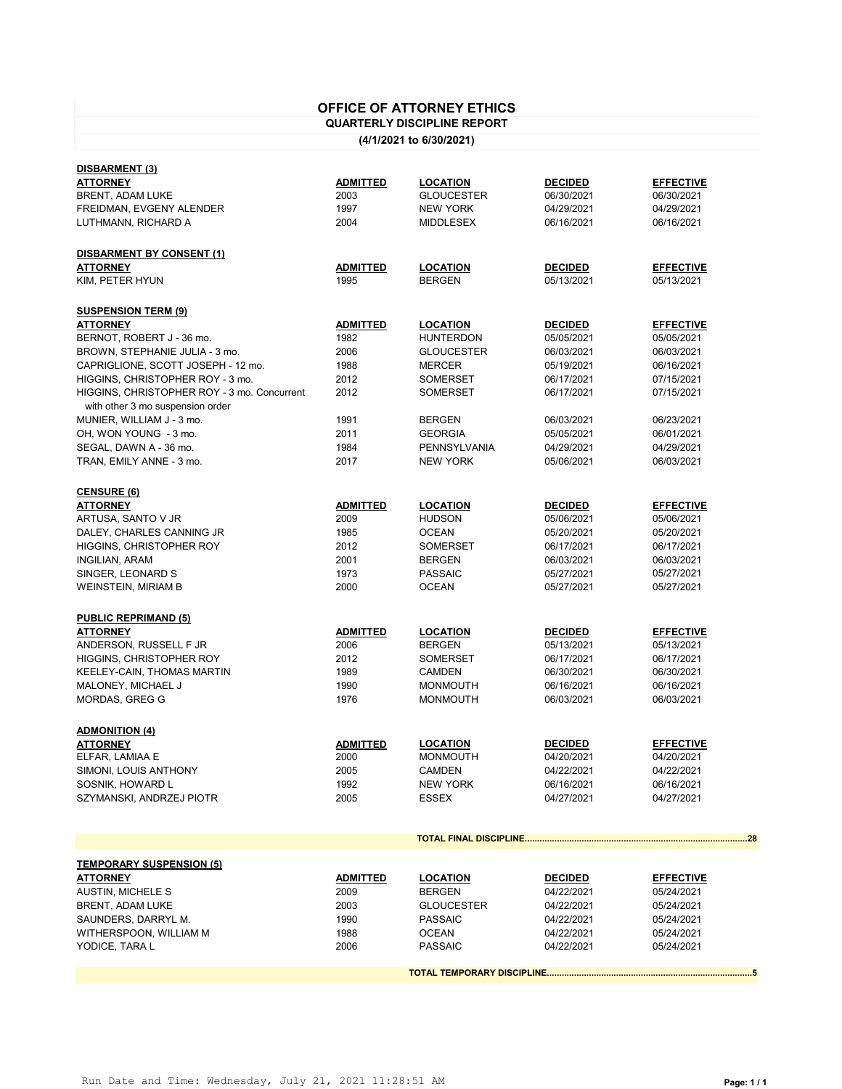## **OFFICE OF ATTORNEY ETHICS**

## **QUARTERLY DISCIPLINE REPORT**

**(4/1/2021 to 6/30/2021)**

| YODICE, TARA L                              | 2006            | <b>PASSAIC</b>    | 04/22/2021     | 05/24/2021       |  |  |
|---------------------------------------------|-----------------|-------------------|----------------|------------------|--|--|
| WITHERSPOON, WILLIAM M                      | 1988            | <b>OCEAN</b>      | 04/22/2021     | 05/24/2021       |  |  |
|                                             |                 |                   |                |                  |  |  |
| SAUNDERS, DARRYL M.                         | 1990            | <b>PASSAIC</b>    | 04/22/2021     | 05/24/2021       |  |  |
| <b>BRENT, ADAM LUKE</b>                     | 2003            | <b>GLOUCESTER</b> | 04/22/2021     | 05/24/2021       |  |  |
| <b>AUSTIN, MICHELE S</b>                    | 2009            | <b>BERGEN</b>     | 04/22/2021     | 05/24/2021       |  |  |
| <b>ATTORNEY</b>                             | <b>ADMITTED</b> | <b>LOCATION</b>   | <b>DECIDED</b> | <b>EFFECTIVE</b> |  |  |
| <b>TEMPORARY SUSPENSION (5)</b>             |                 |                   |                |                  |  |  |
|                                             |                 |                   |                |                  |  |  |
|                                             |                 |                   |                |                  |  |  |
|                                             |                 |                   |                |                  |  |  |
| SZYMANSKI, ANDRZEJ PIOTR                    | 2005            | <b>ESSEX</b>      | 04/27/2021     | 04/27/2021       |  |  |
| SOSNIK, HOWARD L                            | 1992            | <b>NEW YORK</b>   | 06/16/2021     | 06/16/2021       |  |  |
| SIMONI, LOUIS ANTHONY                       | 2005            | <b>CAMDEN</b>     | 04/22/2021     | 04/22/2021       |  |  |
| ELFAR, LAMIAA E                             | 2000            | <b>MONMOUTH</b>   | 04/20/2021     | 04/20/2021       |  |  |
| <b>ATTORNEY</b>                             | <b>ADMITTED</b> | <b>LOCATION</b>   | <b>DECIDED</b> | <b>EFFECTIVE</b> |  |  |
| <b>ADMONITION (4)</b>                       |                 |                   |                |                  |  |  |
|                                             |                 |                   |                |                  |  |  |
|                                             |                 |                   |                |                  |  |  |
| MORDAS, GREG G                              | 1976            | <b>MONMOUTH</b>   | 06/03/2021     | 06/03/2021       |  |  |
| MALONEY, MICHAEL J                          | 1990            | <b>MONMOUTH</b>   | 06/16/2021     | 06/16/2021       |  |  |
| KEELEY-CAIN, THOMAS MARTIN                  | 1989            | <b>CAMDEN</b>     | 06/30/2021     | 06/30/2021       |  |  |
| HIGGINS, CHRISTOPHER ROY                    | 2012            | <b>SOMERSET</b>   | 06/17/2021     | 06/17/2021       |  |  |
| ANDERSON, RUSSELL F JR                      | 2006            | <b>BERGEN</b>     | 05/13/2021     | 05/13/2021       |  |  |
| <b>ATTORNEY</b>                             | <b>ADMITTED</b> | <b>LOCATION</b>   | <b>DECIDED</b> | <b>EFFECTIVE</b> |  |  |
| <b>PUBLIC REPRIMAND (5)</b>                 |                 |                   |                |                  |  |  |
|                                             |                 |                   |                |                  |  |  |
| <b>WEINSTEIN, MIRIAM B</b>                  | 2000            | <b>OCEAN</b>      | 05/27/2021     | 05/27/2021       |  |  |
| SINGER, LEONARD S                           | 1973            | <b>PASSAIC</b>    | 05/27/2021     | 05/27/2021       |  |  |
| <b>INGILIAN, ARAM</b>                       | 2001            | <b>BERGEN</b>     | 06/03/2021     | 06/03/2021       |  |  |
| HIGGINS, CHRISTOPHER ROY                    | 2012            | <b>SOMERSET</b>   | 06/17/2021     | 06/17/2021       |  |  |
| DALEY, CHARLES CANNING JR                   | 1985            | <b>OCEAN</b>      | 05/20/2021     | 05/20/2021       |  |  |
| ARTUSA, SANTO V JR                          | 2009            | <b>HUDSON</b>     | 05/06/2021     | 05/06/2021       |  |  |
| <b>ATTORNEY</b>                             | <b>ADMITTED</b> | <b>LOCATION</b>   | <b>DECIDED</b> | <b>EFFECTIVE</b> |  |  |
| <b>CENSURE (6)</b>                          |                 |                   |                |                  |  |  |
|                                             |                 |                   |                |                  |  |  |
|                                             |                 |                   |                |                  |  |  |
| TRAN, EMILY ANNE - 3 mo.                    | 2017            | <b>NEW YORK</b>   | 05/06/2021     | 06/03/2021       |  |  |
| SEGAL, DAWN A - 36 mo.                      | 1984            | PENNSYLVANIA      | 04/29/2021     | 04/29/2021       |  |  |
| OH, WON YOUNG - 3 mo.                       | 2011            | <b>GEORGIA</b>    | 05/05/2021     | 06/01/2021       |  |  |
| MUNIER, WILLIAM J - 3 mo.                   | 1991            | <b>BERGEN</b>     | 06/03/2021     | 06/23/2021       |  |  |
| with other 3 mo suspension order            |                 |                   |                |                  |  |  |
| HIGGINS, CHRISTOPHER ROY - 3 mo. Concurrent | 2012            | <b>SOMERSET</b>   | 06/17/2021     | 07/15/2021       |  |  |
| HIGGINS, CHRISTOPHER ROY - 3 mo.            | 2012            | <b>SOMERSET</b>   | 06/17/2021     | 07/15/2021       |  |  |
| CAPRIGLIONE, SCOTT JOSEPH - 12 mo.          | 1988            | <b>MERCER</b>     | 05/19/2021     | 06/16/2021       |  |  |
| BROWN, STEPHANIE JULIA - 3 mo.              | 2006            | <b>GLOUCESTER</b> | 06/03/2021     | 06/03/2021       |  |  |
| BERNOT, ROBERT J - 36 mo.                   | 1982            | <b>HUNTERDON</b>  | 05/05/2021     | 05/05/2021       |  |  |
| <b>ATTORNEY</b>                             | <b>ADMITTED</b> | <b>LOCATION</b>   | <b>DECIDED</b> | <b>EFFECTIVE</b> |  |  |
| <b>SUSPENSION TERM (9)</b>                  |                 |                   |                |                  |  |  |
|                                             |                 |                   |                |                  |  |  |
| KIM, PETER HYUN                             | 1995            | <b>BERGEN</b>     | 05/13/2021     | 05/13/2021       |  |  |
| <b>ATTORNEY</b>                             | <b>ADMITTED</b> | <b>LOCATION</b>   | <b>DECIDED</b> | <b>EFFECTIVE</b> |  |  |
| <b>DISBARMENT BY CONSENT (1)</b>            |                 |                   |                |                  |  |  |
|                                             |                 |                   |                |                  |  |  |
| LUTHMANN, RICHARD A                         | 2004            | <b>MIDDLESEX</b>  | 06/16/2021     | 06/16/2021       |  |  |
| FREIDMAN, EVGENY ALENDER                    | 1997            | <b>NEW YORK</b>   | 04/29/2021     | 04/29/2021       |  |  |
| BRENT, ADAM LUKE                            | 2003            | <b>GLOUCESTER</b> | 06/30/2021     | 06/30/2021       |  |  |
| <b>ATTORNEY</b>                             | <b>ADMITTED</b> | <b>LOCATION</b>   | <b>DECIDED</b> | <b>EFFECTIVE</b> |  |  |
| <b>DISBARMENT (3)</b>                       |                 |                   |                |                  |  |  |
|                                             |                 |                   |                |                  |  |  |